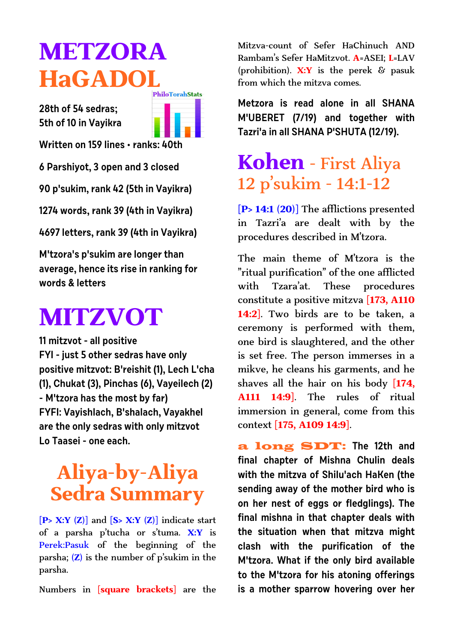# **METZORA HaGADOL**

**28th of 54 sedras; 5th of 10 in Vayikra**



**Written on 159 lines • ranks: 40th**

**6 Parshiyot, 3 open and 3 closed**

**90 p'sukim, rank 42 (5th in Vayikra)**

**1274 words, rank 39 (4th in Vayikra)**

**4697 letters, rank 39 (4th in Vayikra)**

**M'tzora's p'sukim are longer than average, hence its rise in ranking for words & letters**

# **MITZVOT**

**11 mitzvot - all positive FYI - just 5 other sedras have only positive mitzvot: B'reishit (1), Lech L'cha (1), Chukat (3), Pinchas (6), Vayeilech (2) - M'tzora has the most by far) FYFI: Vayishlach, B'shalach, Vayakhel are the only sedras with only mitzvot Lo Taasei - one each.**

# **Aliya-by-Aliya Sedra Summary**

**[P> X:Y (Z)]** and **[S> X:Y (Z)]** indicate start of a parsha p'tucha or s'tuma. **X:Y** is Perek:Pasuk of the beginning of the parsha; **(Z)** is the number of p'sukim in the parsha.

Numbers in **[square brackets]** are the

Mitzva-count of Sefer HaChinuch AND Rambam's Sefer HaMitzvot. **A**=ASEI; **L**=LAV (prohibition). **X:Y** is the perek & pasuk from which the mitzva comes.

**Metzora is read alone in all SHANA M'UBERET (7/19) and together with Tazri'a in all SHANA P'SHUTA (12/19).** 

### **Kohen** - First Aliya 12 p'sukim - 14:1-12

**[P> 14:1 (20)]** The afflictions presented in Tazri'a are dealt with by the procedures described in M'tzora.

The main theme of M'tzora is the "ritual purification" of the one afflicted with Tzara'at. These procedures constitute a positive mitzva **[173, A110 14:2]**. Two birds are to be taken, a ceremony is performed with them, one bird is slaughtered, and the other is set free. The person immerses in a mikve, he cleans his garments, and he shaves all the hair on his body **[174, A111 14:9]**. The rules of ritual immersion in general, come from this context **[175, A109 14:9]**.

a long SDT: **The 12th and final chapter of Mishna Chulin deals with the mitzva of Shilu'ach HaKen (the sending away of the mother bird who is on her nest of eggs or fledglings). The final mishna in that chapter deals with the situation when that mitzva might clash with the purification of the M'tzora. What if the only bird available to the M'tzora for his atoning offerings is a mother sparrow hovering over her**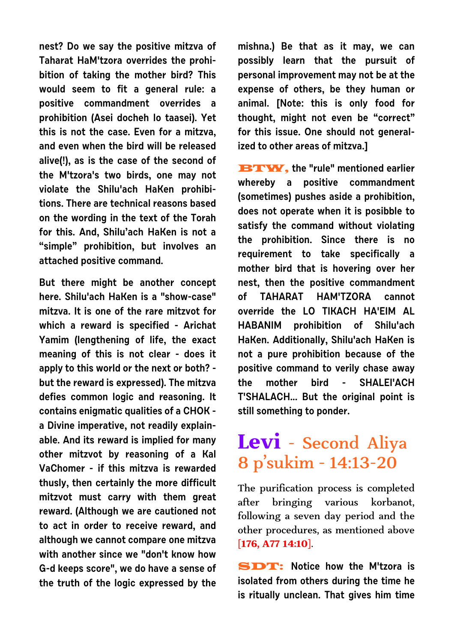**nest? Do we say the positive mitzva of Taharat HaM'tzora overrides the prohibition of taking the mother bird? This would seem to fit a general rule: a positive commandment overrides a prohibition (Asei docheh lo taasei). Yet this is not the case. Even for a mitzva, and even when the bird will be released alive(!), as is the case of the second of the M'tzora's two birds, one may not violate the Shilu'ach HaKen prohibitions. There are technical reasons based on the wording in the text of the Torah for this. And, Shilu'ach HaKen is not a "simple" prohibition, but involves an attached positive command.**

**But there might be another concept here. Shilu'ach HaKen is a "show-case" mitzva. It is one of the rare mitzvot for which a reward is specified - Arichat Yamim (lengthening of life, the exact meaning of this is not clear - does it apply to this world or the next or both? but the reward is expressed). The mitzva defies common logic and reasoning. It contains enigmatic qualities of a CHOK a Divine imperative, not readily explainable. And its reward is implied for many other mitzvot by reasoning of a Kal VaChomer - if this mitzva is rewarded thusly, then certainly the more difficult mitzvot must carry with them great reward. (Although we are cautioned not to act in order to receive reward, and although we cannot compare one mitzva with another since we "don't know how G-d keeps score", we do have a sense of the truth of the logic expressed by the** **mishna.) Be that as it may, we can possibly learn that the pursuit of personal improvement may not be at the expense of others, be they human or animal. [Note: this is only food for thought, might not even be "correct" for this issue. One should not generalized to other areas of mitzva.]**

**BTW, the "rule" mentioned earlier whereby a positive commandment (sometimes) pushes aside a prohibition, does not operate when it is posibble to satisfy the command without violating the prohibition. Since there is no requirement to take specifically a mother bird that is hovering over her nest, then the positive commandment of TAHARAT HAM'TZORA cannot override the LO TIKACH HA'EIM AL HABANIM prohibition of Shilu'ach HaKen. Additionally, Shilu'ach HaKen is not a pure prohibition because of the positive command to verily chase away the mother bird - SHALEI'ACH T'SHALACH... But the original point is still something to ponder.**

### **Levi** - Second Aliya 8 p'sukim - 14:13-20

The purification process is completed after bringing various korbanot, following a seven day period and the other procedures, as mentioned above **[176, A77 14:10]**.

SDT: **Notice how the M'tzora is isolated from others during the time he is ritually unclean. That gives him time**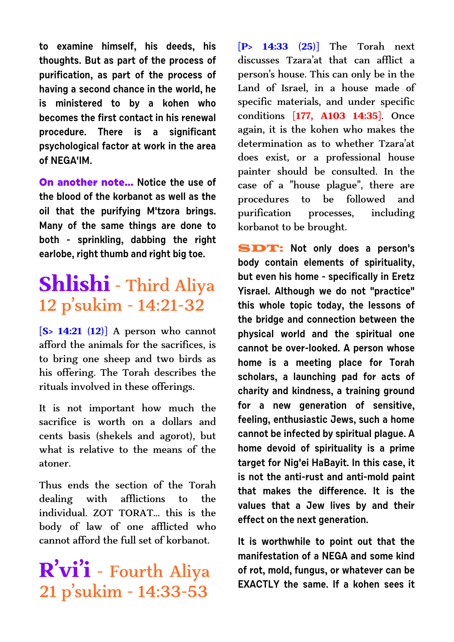**to examine himself, his deeds, his thoughts. But as part of the process of purification, as part of the process of having a second chance in the world, he is ministered to by a kohen who becomes the first contact in his renewal procedure. There is a significant psychological factor at work in the area of NEGA'IM.**

**On another note... Notice the use of the blood of the korbanot as well as the oil that the purifying M'tzora brings. Many of the same things are done to both - sprinkling, dabbing the right earlobe, right thumb and right big toe.**

# **Shlishi** - Third Aliya 12 p'sukim - 14:21-32

**[S> 14:21 (12)]** A person who cannot afford the animals for the sacrifices, is to bring one sheep and two birds as his offering. The Torah describes the rituals involved in these offerings.

It is not important how much the sacrifice is worth on a dollars and cents basis (shekels and agorot), but what is relative to the means of the atoner.

Thus ends the section of the Torah dealing with afflictions to the individual. ZOT TORAT... this is the body of law of one afflicted who cannot afford the full set of korbanot.

# **R'vi'i** - Fourth Aliya 21 p'sukim - 14:33-53

**[P> 14:33 (25)]** The Torah next discusses Tzara'at that can afflict a person's house. This can only be in the Land of Israel, in a house made of specific materials, and under specific conditions **[177, A103 14:35]**. Once again, it is the kohen who makes the determination as to whether Tzara'at does exist, or a professional house painter should be consulted. In the case of a "house plague", there are procedures to be followed and purification processes, including korbanot to be brought.

SDT: **Not only does a person's body contain elements of spirituality, but even his home - specifically in Eretz Yisrael. Although we do not "practice" this whole topic today, the lessons of the bridge and connection between the physical world and the spiritual one cannot be over-looked. A person whose home is a meeting place for Torah scholars, a launching pad for acts of charity and kindness, a training ground for a new generation of sensitive, feeling, enthusiastic Jews, such a home cannot be infected by spiritual plague. A home devoid of spirituality is a prime target for Nig'ei HaBayit. In this case, it is not the anti-rust and anti-mold paint that makes the difference. It is the values that a Jew lives by and their effect on the next generation.**

**It is worthwhile to point out that the manifestation of a NEGA and some kind of rot, mold, fungus, or whatever can be EXACTLY the same. If a kohen sees it**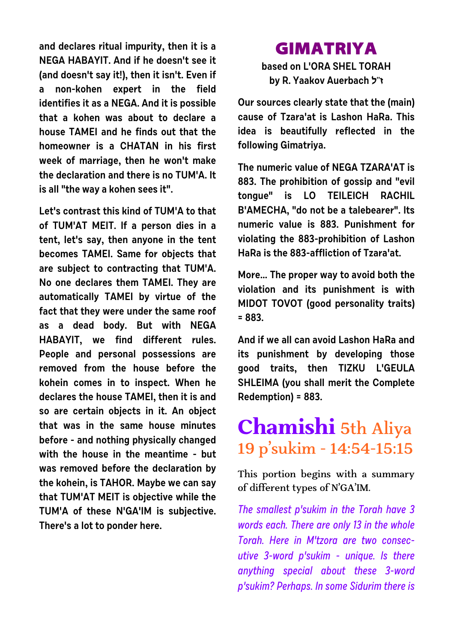**and declares ritual impurity, then it is a NEGA HABAYIT. And if he doesn't see it (and doesn't say it!), then it isn't. Even if a non-kohen expert in the field identifies it as a NEGA. And it is possible that a kohen was about to declare a house TAMEI and he finds out that the homeowner is a CHATAN in his first week of marriage, then he won't make the declaration and there is no TUM'A. It is all "the way a kohen sees it".** 

**Let's contrast this kind of TUM'A to that of TUM'AT MEIT. If a person dies in a tent, let's say, then anyone in the tent becomes TAMEI. Same for objects that are subject to contracting that TUM'A. No one declares them TAMEI. They are automatically TAMEI by virtue of the fact that they were under the same roof as a dead body. But with NEGA HABAYIT, we find different rules. People and personal possessions are removed from the house before the kohein comes in to inspect. When he declares the house TAMEI, then it is and so are certain objects in it. An object that was in the same house minutes before - and nothing physically changed with the house in the meantime - but was removed before the declaration by the kohein, is TAHOR. Maybe we can say that TUM'AT MEIT is objective while the TUM'A of these N'GA'IM is subjective. There's a lot to ponder here.**

#### **GIMATRIYA**

**based on L'ORA SHEL TORAH by R. Yaakov Auerbach l"f**

**Our sources clearly state that the (main) cause of Tzara'at is Lashon HaRa. This idea is beautifully reflected in the following Gimatriya.**

**The numeric value of NEGA TZARA'AT is 883. The prohibition of gossip and "evil tongue" is LO TEILEICH RACHIL B'AMECHA, "do not be a talebearer". Its numeric value is 883. Punishment for violating the 883-prohibition of Lashon HaRa is the 883-affliction of Tzara'at.**

**More... The proper way to avoid both the violation and its punishment is with MIDOT TOVOT (good personality traits) = 883.**

**And if we all can avoid Lashon HaRa and its punishment by developing those good traits, then TIZKU L'GEULA SHLEIMA (you shall merit the Complete Redemption) = 883.**

# **Chamishi** 5th Aliya 19 p'sukim - 14:54-15:15

This portion begins with a summary of different types of N'GA'IM.

The smallest p'sukim in the Torah have 3 words each. There are only 13 in the whole Torah. Here in M'tzora are two consecutive 3-word p'sukim - unique. Is there anything special about these 3-word p'sukim? Perhaps. In some Sidurim there is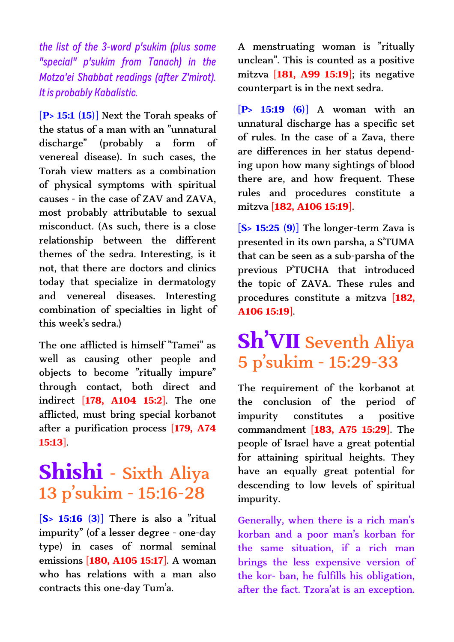the list of the 3-word p'sukim (plus some "special" p'sukim from Tanach) in the Motza'ei Shabbat readings (after Z'mirot). It is probably Kabalistic.

**[P> 15:1 (15)]** Next the Torah speaks of the status of a man with an "unnatural discharge" (probably a form of venereal disease). In such cases, the Torah view matters as a combination of physical symptoms with spiritual causes - in the case of ZAV and ZAVA, most probably attributable to sexual misconduct. (As such, there is a close relationship between the different themes of the sedra. Interesting, is it not, that there are doctors and clinics today that specialize in dermatology and venereal diseases. Interesting combination of specialties in light of this week's sedra.)

The one afflicted is himself "Tamei" as well as causing other people and objects to become "ritually impure" through contact, both direct and indirect **[178, A104 15:2]**. The one afflicted, must bring special korbanot after a purification process **[179, A74 15:13]**.

#### **Shishi** - Sixth Aliya 13 p'sukim - 15:16-28

**[S> 15:16 (3)]** There is also a "ritual impurity" (of a lesser degree - one-day type) in cases of normal seminal emissions **[180, A105 15:17]**. A woman who has relations with a man also contracts this one-day Tum'a.

A menstruating woman is "ritually unclean". This is counted as a positive mitzva **[181, A99 15:19]**; its negative counterpart is in the next sedra.

**[P> 15:19 (6)]** A woman with an unnatural discharge has a specific set of rules. In the case of a Zava, there are differences in her status depending upon how many sightings of blood there are, and how frequent. These rules and procedures constitute a mitzva **[182, A106 15:19]**.

**[S> 15:25 (9)]** The longer-term Zava is presented in its own parsha, a S'TUMA that can be seen as a sub-parsha of the previous P'TUCHA that introduced the topic of ZAVA. These rules and procedures constitute a mitzva **[182, A106 15:19]**.

# **Sh'VII** Seventh Aliya 5 p'sukim - 15:29-33

The requirement of the korbanot at the conclusion of the period of impurity constitutes a positive commandment **[183, A75 15:29]**. The people of Israel have a great potential for attaining spiritual heights. They have an equally great potential for descending to low levels of spiritual impurity.

Generally, when there is a rich man's korban and a poor man's korban for the same situation, if a rich man brings the less expensive version of the kor- ban, he fulfills his obligation, after the fact. Tzora'at is an exception.